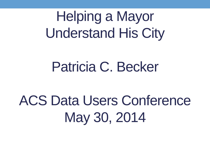Helping a Mayor Understand His City

## Patricia C. Becker

## ACS Data Users Conference May 30, 2014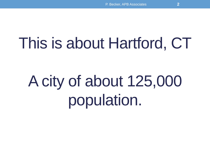## This is about Hartford, CT

# A city of about 125,000 population.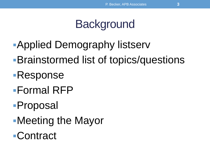## **Background**

- Applied Demography listserv
- Brainstormed list of topics/questions
- Response
- Formal RFP
- Proposal
- Meeting the Mayor
- Contract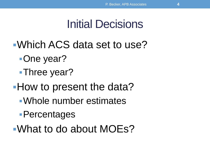### Initial Decisions

- Which ACS data set to use?
	- One year?
	- Three year?
- **How to present the data?** 
	- Whole number estimates
	- Percentages
- What to do about MOEs?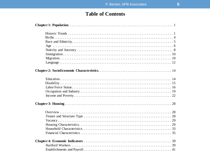#### **Table of Contents**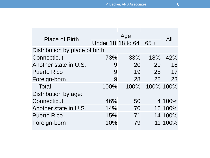| <b>Place of Birth</b>           |                        |      |     |           |  |  |  |
|---------------------------------|------------------------|------|-----|-----------|--|--|--|
|                                 | Under 18 18 to 64 65 + |      |     | All       |  |  |  |
| Distribution by place of birth: |                        |      |     |           |  |  |  |
| Connecticut                     | 73%                    | 33%  | 18% | 42%       |  |  |  |
| Another state in U.S.           | 9                      | 20   | 29  | 18        |  |  |  |
| <b>Puerto Rico</b>              | 9                      | 19   | 25  | 17        |  |  |  |
| Foreign-born                    | 9                      | 28   | 28  | 23        |  |  |  |
| Total                           | 100%                   | 100% |     | 100% 100% |  |  |  |
| Distribution by age:            |                        |      |     |           |  |  |  |
| Connecticut                     | 46%                    | 50   |     | 4 100%    |  |  |  |
| Another state in U.S.           | 14%                    | 70   |     | 16 100%   |  |  |  |
| <b>Puerto Rico</b>              | 15%                    | 71   |     | 14 100%   |  |  |  |
| Foreign-born                    | 10%                    | 79   |     | 11 100%   |  |  |  |
|                                 |                        |      |     |           |  |  |  |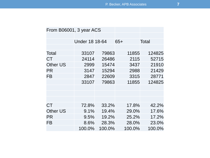| From B06001, 3 year ACS |                       |        |        |              |
|-------------------------|-----------------------|--------|--------|--------------|
|                         |                       |        |        |              |
|                         | <b>Under 18 18-64</b> |        | $65+$  | <b>Total</b> |
|                         |                       |        |        |              |
| Total                   | 33107                 | 79863  | 11855  | 124825       |
| CT                      | 24114                 | 26486  | 2115   | 52715        |
| <b>Other US</b>         | 2999                  | 15474  | 3437   | 21910        |
| <b>PR</b>               | 3147                  | 15294  | 2988   | 21429        |
| <b>FB</b>               | 2847                  | 22609  | 3315   | 28771        |
|                         | 33107                 | 79863  | 11855  | 124825       |
|                         |                       |        |        |              |
|                         |                       |        |        |              |
|                         |                       |        |        |              |
| CT                      | 72.8%                 | 33.2%  | 17.8%  | 42.2%        |
| <b>Other US</b>         | $9.1\%$               | 19.4%  | 29.0%  | 17.6%        |
| <b>PR</b>               | 9.5%                  | 19.2%  | 25.2%  | 17.2%        |
| FB                      | 8.6%                  | 28.3%  | 28.0%  | 23.0%        |
|                         | 100.0%                | 100.0% | 100.0% | 100.0%       |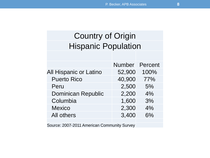### Country of Origin Hispanic Population

|                               | Number Percent |      |
|-------------------------------|----------------|------|
| <b>All Hispanic or Latino</b> | 52,900         | 100% |
| <b>Puerto Rico</b>            | 40,900         | 77%  |
| Peru                          | 2,500          | 5%   |
| <b>Dominican Republic</b>     | 2,200          | 4%   |
| Columbia                      | 1,600          | 3%   |
| <b>Mexico</b>                 | 2,300          | 4%   |
| All others                    | 3,400          | 6%   |
|                               |                |      |

Source: 2007-2011 American Community Survey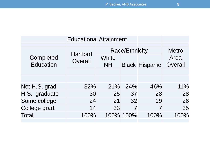| <b>Educational Attainment</b> |                            |                    |                       |                       |                                 |
|-------------------------------|----------------------------|--------------------|-----------------------|-----------------------|---------------------------------|
| Completed<br><b>Education</b> | <b>Hartford</b><br>Overall | White<br><b>NH</b> | <b>Race/Ethnicity</b> | <b>Black Hispanic</b> | <b>Metro</b><br>Area<br>Overall |
|                               |                            |                    |                       |                       |                                 |
| Not H.S. grad.                | 32%                        | 21%                | 24%                   | 46%                   | 11%                             |
| H.S. graduate                 | 30                         | 25                 | 37                    | 28                    | 28                              |
| Some college                  | 24                         | 21                 | 32                    | 19                    | 26                              |
| College grad.                 | 14                         | 33                 |                       | 7                     | 35                              |
| <b>Total</b>                  | 100%                       |                    | 100% 100%             | 100%                  | 100%                            |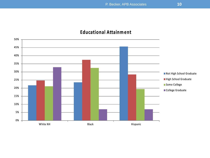#### **Educational Attainm ent**

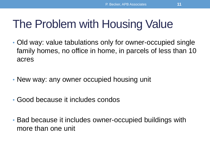## The Problem with Housing Value

- Old way: value tabulations only for owner-occupied single family homes, no office in home, in parcels of less than 10 acres
- New way: any owner occupied housing unit
- Good because it includes condos
- Bad because it includes owner-occupied buildings with more than one unit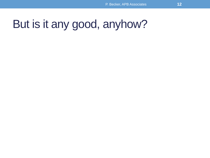### But is it any good, anyhow?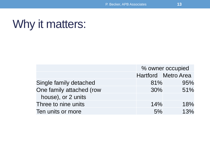### Why it matters:

|                          | % owner occupied |                            |
|--------------------------|------------------|----------------------------|
|                          |                  | <b>Hartford</b> Metro Area |
| Single family detached   | 81%              | 95%                        |
| One family attached (row | 30%              | 51%                        |
| house), or 2 units       |                  |                            |
| Three to nine units      | 14%              | 18%                        |
| Ten units or more        | 5%               | 13%                        |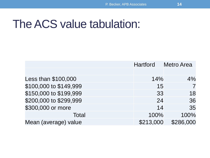### The ACS value tabulation:

|                        | <b>Hartford</b> | <b>Metro Area</b> |
|------------------------|-----------------|-------------------|
|                        |                 |                   |
| Less than \$100,000    | 14%             | 4%                |
| \$100,000 to \$149,999 | 15              |                   |
| \$150,000 to \$199,999 | 33              | 18                |
| \$200,000 to \$299,999 | 24              | 36                |
| \$300,000 or more      | 14              | 35                |
| Total                  | 100%            | 100%              |
| Mean (average) value   | \$213,000       | \$286,000         |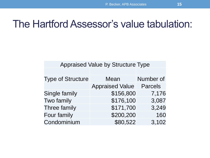### The Hartford Assessor's value tabulation:

| <b>Appraised Value by Structure Type</b> |                        |                |  |  |
|------------------------------------------|------------------------|----------------|--|--|
|                                          |                        |                |  |  |
| <b>Type of Structure</b>                 | Mean                   | Number of      |  |  |
|                                          | <b>Appraised Value</b> | <b>Parcels</b> |  |  |
| Single family                            | \$156,800              | 7,176          |  |  |
| Two family                               | \$176,100              | 3,087          |  |  |
| Three family                             | \$171,700              | 3,249          |  |  |
| Four family                              | \$200,200              | 160            |  |  |
| Condominium                              | \$80,522               | 3,102          |  |  |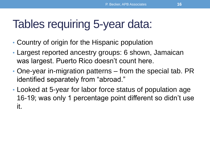### Tables requiring 5-year data:

- Country of origin for the Hispanic population
- Largest reported ancestry groups: 6 shown, Jamaican was largest. Puerto Rico doesn't count here.
- One-year in-migration patterns from the special tab. PR identified separately from "abroad."
- Looked at 5-year for labor force status of population age 16-19; was only 1 percentage point different so didn't use it.